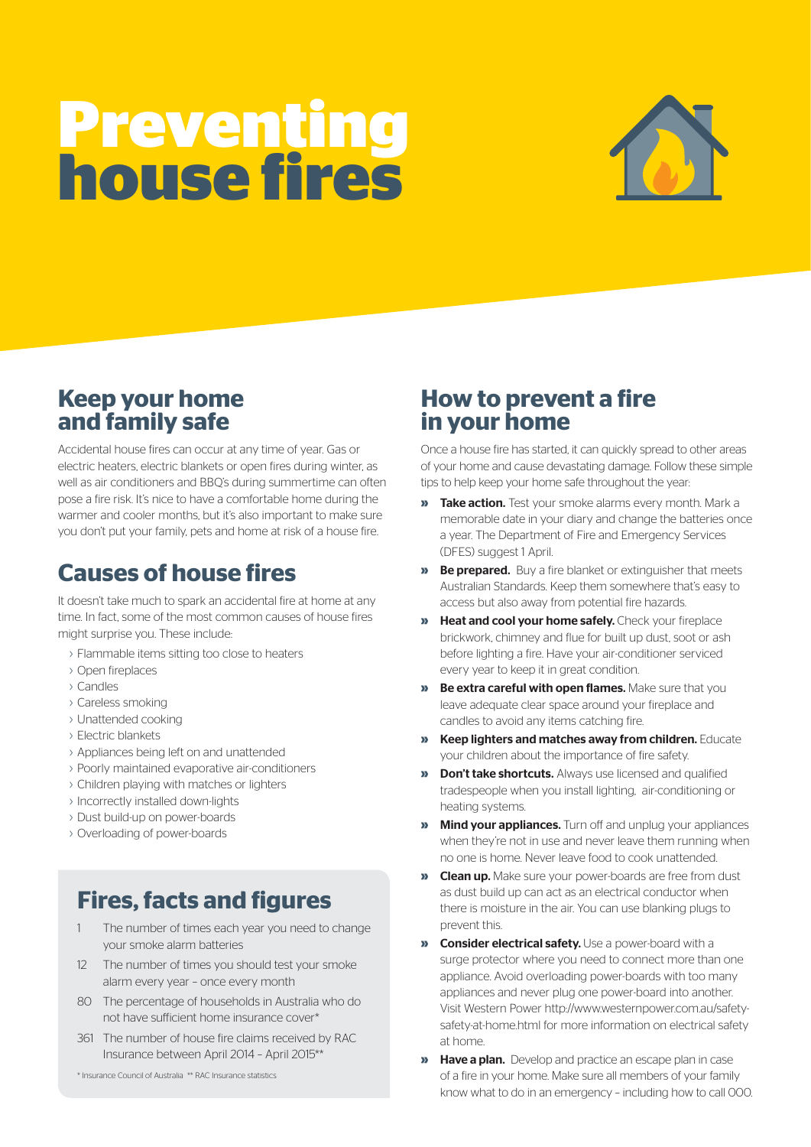# **Preventing house fires**



### **Keep your home and family safe**

Accidental house fires can occur at any time of year. Gas or electric heaters, electric blankets or open fires during winter, as well as air conditioners and BBQ's during summertime can often pose a fire risk. It's nice to have a comfortable home during the warmer and cooler months, but it's also important to make sure you don't put your family, pets and home at risk of a house fire.

## **Causes of house fires**

It doesn't take much to spark an accidental fire at home at any time. In fact, some of the most common causes of house fires might surprise you. These include:

- › Flammable items sitting too close to heaters
- › Open fireplaces
- › Candles
- › Careless smoking
- › Unattended cooking
- › Electric blankets
- › Appliances being left on and unattended
- › Poorly maintained evaporative air-conditioners
- › Children playing with matches or lighters
- › Incorrectly installed down-lights
- › Dust build-up on power-boards
- › Overloading of power-boards

# **Fires, facts and figures**

- 1 The number of times each year you need to change your smoke alarm batteries
- 12 The number of times you should test your smoke alarm every year – once every month
- 80 The percentage of households in Australia who do not have sufficient home insurance cover\*
- 361 The number of house fire claims received by RAC Insurance between April 2014 – April 2015\*\*

\* Insurance Council of Australia \*\* RAC Insurance statistics

## **How to prevent a fire in your home**

Once a house fire has started, it can quickly spread to other areas of your home and cause devastating damage. Follow these simple tips to help keep your home safe throughout the year:

- **»** Take action. Test your smoke alarms every month. Mark a memorable date in your diary and change the batteries once a year. The Department of Fire and Emergency Services (DFES) suggest 1 April.
- **Be prepared.** Buy a fire blanket or extinguisher that meets Australian Standards. Keep them somewhere that's easy to access but also away from potential fire hazards.
- **»** Heat and cool your home safely. Check your fireplace brickwork, chimney and flue for built up dust, soot or ash before lighting a fire. Have your air-conditioner serviced every year to keep it in great condition.
- **»** Be extra careful with open flames. Make sure that you leave adequate clear space around your fireplace and candles to avoid any items catching fire.
- **»** Keep lighters and matches away from children. Educate your children about the importance of fire safety.
- **»** Don't take shortcuts. Always use licensed and qualified tradespeople when you install lighting, air-conditioning or heating systems.
- **»** Mind your appliances. Turn off and unplug your appliances when they're not in use and never leave them running when no one is home. Never leave food to cook unattended.
- **»** Clean up. Make sure your power-boards are free from dust as dust build up can act as an electrical conductor when there is moisture in the air. You can use blanking plugs to prevent this.
- **»** Consider electrical safety. Use a power-board with a surge protector where you need to connect more than one appliance. Avoid overloading power-boards with too many appliances and never plug one power-board into another. Visit Western Power http://www.westernpower.com.au/safetysafety-at-home.html for more information on electrical safety at home.
- **»** Have a plan. Develop and practice an escape plan in case of a fire in your home. Make sure all members of your family know what to do in an emergency – including how to call 000.